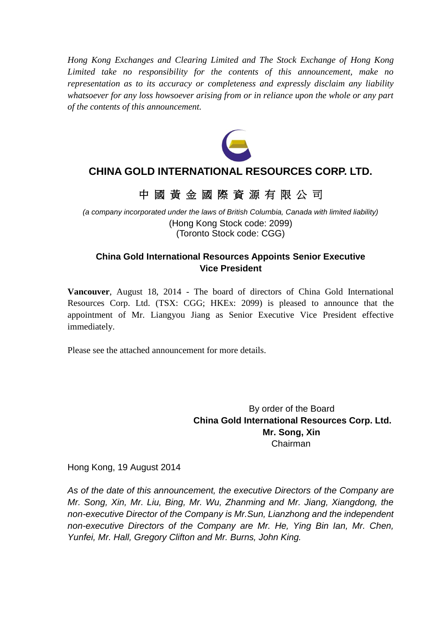*Hong Kong Exchanges and Clearing Limited and The Stock Exchange of Hong Kong Limited take no responsibility for the contents of this announcement, make no representation as to its accuracy or completeness and expressly disclaim any liability whatsoever for any loss howsoever arising from or in reliance upon the whole or any part of the contents of this announcement.*



# **CHINA GOLD INTERNATIONAL RESOURCES CORP. LTD.**

# 中 國 黃 金 國 際 資 源 有 限 公 司

*(a company incorporated under the laws of British Columbia, Canada with limited liability)* (Hong Kong Stock code: 2099) (Toronto Stock code: CGG)

## **China Gold International Resources Appoints Senior Executive Vice President**

**Vancouver**, August 18, 2014 - The board of directors of China Gold International Resources Corp. Ltd. (TSX: CGG; HKEx: 2099) is pleased to announce that the appointment of Mr. Liangyou Jiang as Senior Executive Vice President effective immediately.

Please see the attached announcement for more details.

By order of the Board **China Gold International Resources Corp. Ltd. Mr. Song, Xin** Chairman

Hong Kong, 19 August 2014

*As of the date of this announcement, the executive Directors of the Company are Mr. Song, Xin, Mr. Liu, Bing, Mr. Wu, Zhanming and Mr. Jiang, Xiangdong, the non-executive Director of the Company is Mr.Sun, Lianzhong and the independent non-executive Directors of the Company are Mr. He, Ying Bin Ian, Mr. Chen, Yunfei, Mr. Hall, Gregory Clifton and Mr. Burns, John King.*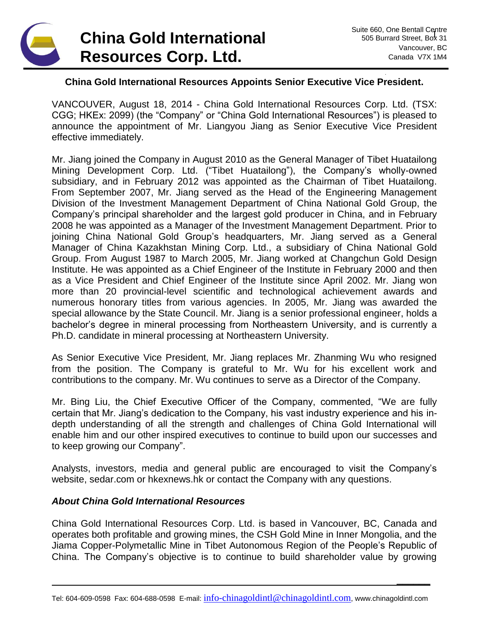

**\_\_\_\_\_\_**

### **China Gold International Resources Appoints Senior Executive Vice President.**

VANCOUVER, August 18, 2014 - China Gold International Resources Corp. Ltd. (TSX: CGG; HKEx: 2099) (the "Company" or "China Gold International Resources") is pleased to announce the appointment of Mr. Liangyou Jiang as Senior Executive Vice President effective immediately.

Mr. Jiang joined the Company in August 2010 as the General Manager of Tibet Huatailong Mining Development Corp. Ltd. ("Tibet Huatailong"), the Company's wholly-owned subsidiary, and in February 2012 was appointed as the Chairman of Tibet Huatailong. From September 2007, Mr. Jiang served as the Head of the Engineering Management Division of the Investment Management Department of China National Gold Group, the Company's principal shareholder and the largest gold producer in China, and in February 2008 he was appointed as a Manager of the Investment Management Department. Prior to joining China National Gold Group's headquarters, Mr. Jiang served as a General Manager of China Kazakhstan Mining Corp. Ltd., a subsidiary of China National Gold Group. From August 1987 to March 2005, Mr. Jiang worked at Changchun Gold Design Institute. He was appointed as a Chief Engineer of the Institute in February 2000 and then as a Vice President and Chief Engineer of the Institute since April 2002. Mr. Jiang won more than 20 provincial-level scientific and technological achievement awards and numerous honorary titles from various agencies. In 2005, Mr. Jiang was awarded the special allowance by the State Council. Mr. Jiang is a senior professional engineer, holds a bachelor's degree in mineral processing from Northeastern University, and is currently a Ph.D. candidate in mineral processing at Northeastern University.

As Senior Executive Vice President, Mr. Jiang replaces Mr. Zhanming Wu who resigned from the position. The Company is grateful to Mr. Wu for his excellent work and contributions to the company. Mr. Wu continues to serve as a Director of the Company.

Mr. Bing Liu, the Chief Executive Officer of the Company, commented, "We are fully certain that Mr. Jiang's dedication to the Company, his vast industry experience and his indepth understanding of all the strength and challenges of China Gold International will enable him and our other inspired executives to continue to build upon our successes and to keep growing our Company".

Analysts, investors, media and general public are encouraged to visit the Company's website, sedar.com or hkexnews.hk or contact the Company with any questions.

#### *About China Gold International Resources*

China Gold International Resources Corp. Ltd. is based in Vancouver, BC, Canada and operates both profitable and growing mines, the CSH Gold Mine in Inner Mongolia, and the Jiama Copper-Polymetallic Mine in Tibet Autonomous Region of the People's Republic of China. The Company's objective is to continue to build shareholder value by growing